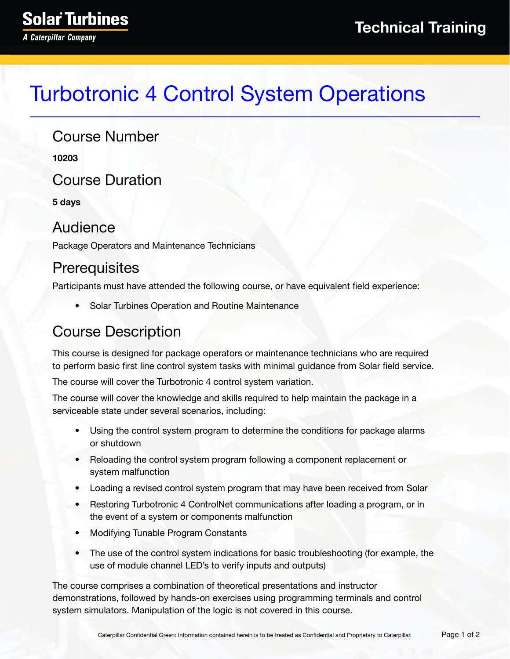# Turbotronic 4 Control System Operations

#### Course Number

**10203**

Course Duration

**5 days**

#### Audience

Package Operators and Maintenance Technicians

#### **Prerequisites**

Participants must have attended the following course, or have equivalent field experience:

• Solar Turbines Operation and Routine Maintenance

#### Course Description

This course is designed for package operators or maintenance technicians who are required to perform basic first line control system tasks with minimal guidance from Solar field service.

The course will cover the Turbotronic 4 control system variation.

The course will cover the knowledge and skills required to help maintain the package in a serviceable state under several scenarios, including:

- Using the control system program to determine the conditions for package alarms or shutdown
- Reloading the control system program following a component replacement or system malfunction
- Loading a revised control system program that may have been received from Solar
- Restoring Turbotronic 4 ControlNet communications after loading a program, or in the event of a system or components malfunction
- Modifying Tunable Program Constants
- The use of the control system indications for basic troubleshooting (for example, the use of module channel LED's to verify inputs and outputs)

The course comprises a combination of theoretical presentations and instructor demonstrations, followed by hands-on exercises using programming terminals and control system simulators. Manipulation of the logic is not covered in this course.